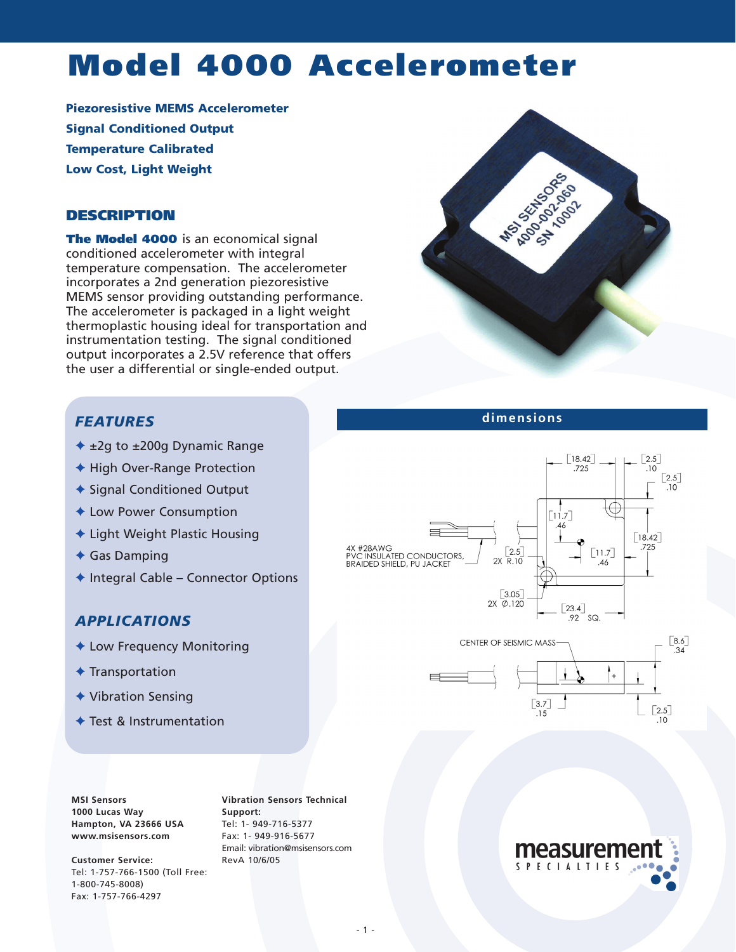# **Model 4000 Accelerometer**

**Piezoresistive MEMS Accelerometer Signal Conditioned Output Temperature Calibrated Low Cost, Light Weight**

#### **DESCRIPTION**

**The Model 4000** is an economical signal conditioned accelerometer with integral temperature compensation. The accelerometer incorporates a 2nd generation piezoresistive MEMS sensor providing outstanding performance. The accelerometer is packaged in a light weight thermoplastic housing ideal for transportation and instrumentation testing. The signal conditioned output incorporates a 2.5V reference that offers the user a differential or single-ended output.

### *FEATURES*

- ✦ ±2g to ±200g Dynamic Range
- ✦ High Over-Range Protection
- ◆ Signal Conditioned Output
- ✦ Low Power Consumption
- ✦ Light Weight Plastic Housing
- ✦ Gas Damping
- ✦ Integral Cable Connector Options

#### *APPLICATIONS*

- ✦ Low Frequency Monitoring
- ✦ Transportation
- ✦ Vibration Sensing
- ✦ Test & Instrumentation

**MSI Sensors 1000 Lucas Way Hampton, VA 23666 USA www.msisensors.com**

**Customer Service:** Tel: 1-757-766-1500 (Toll Free: 1-800-745-8008) Fax: 1-757-766-4297

**Vibration Sensors Technical Support:** Tel: 1- 949-716-5377 Fax: 1- 949-916-5677 Email: vibration@msisensors.com RevA 10/6/05



#### **dimensions**